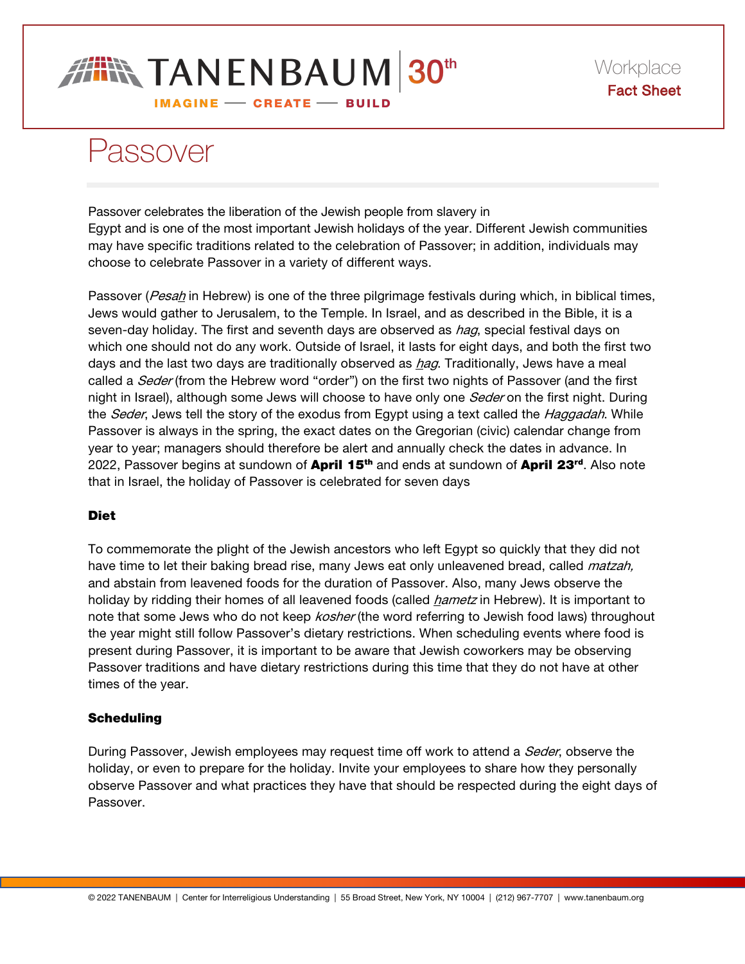# **FIN TANENBAUM 30th**

IMAGINE - CREATE - BUILD

## Passover

Passover celebrates the liberation of the Jewish people from slavery in Egypt and is one of the most important Jewish holidays of the year. Different Jewish communities may have specific traditions related to the celebration of Passover; in addition, individuals may choose to celebrate Passover in a variety of different ways.

Passover (*Pesah* in Hebrew) is one of the three pilgrimage festivals during which, in biblical times, Jews would gather to Jerusalem, to the Temple. In Israel, and as described in the Bible, it is a seven-day holiday. The first and seventh days are observed as *hag*, special festival days on which one should not do any work. Outside of Israel, it lasts for eight days, and both the first two days and the last two days are traditionally observed as *hag*. Traditionally, Jews have a meal called a Seder (from the Hebrew word "order") on the first two nights of Passover (and the first night in Israel), although some Jews will choose to have only one *Seder* on the first night. During the *Seder*, Jews tell the story of the exodus from Egypt using a text called the *Haggadah*. While Passover is always in the spring, the exact dates on the Gregorian (civic) calendar change from year to year; managers should therefore be alert and annually check the dates in advance. In 2022, Passover begins at sundown of April 15<sup>th</sup> and ends at sundown of April 23<sup>rd</sup>. Also note that in Israel, the holiday of Passover is celebrated for seven days

### Diet

To commemorate the plight of the Jewish ancestors who left Egypt so quickly that they did not have time to let their baking bread rise, many Jews eat only unleavened bread, called *matzah*, and abstain from leavened foods for the duration of Passover. Also, many Jews observe the holiday by ridding their homes of all leavened foods (called *hametz* in Hebrew). It is important to note that some Jews who do not keep *kosher* (the word referring to Jewish food laws) throughout the year might still follow Passover's dietary restrictions. When scheduling events where food is present during Passover, it is important to be aware that Jewish coworkers may be observing Passover traditions and have dietary restrictions during this time that they do not have at other times of the year.

#### **Scheduling**

During Passover, Jewish employees may request time off work to attend a *Seder*, observe the holiday, or even to prepare for the holiday. Invite your employees to share how they personally observe Passover and what practices they have that should be respected during the eight days of Passover.